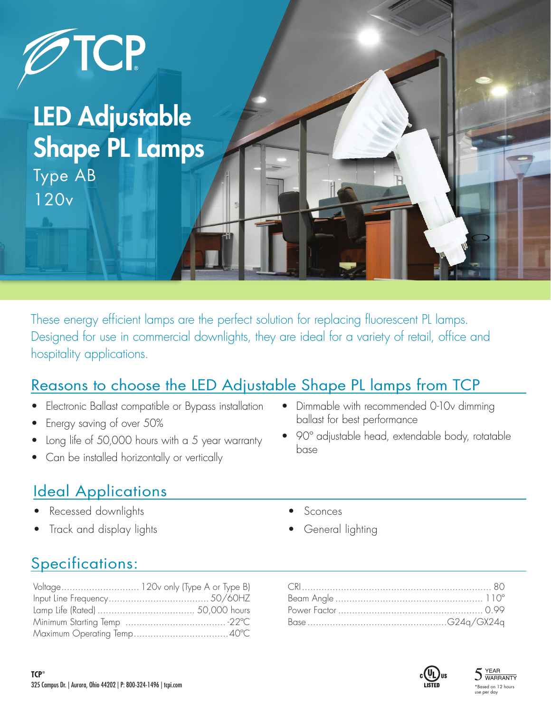

# LED Adjustable Shape PL Lamps

Type AB 120v

These energy efficient lamps are the perfect solution for replacing fluorescent PL lamps. Designed for use in commercial downlights, they are ideal for a variety of retail, office and hospitality applications.

### Reasons to choose the LED Adjustable Shape PL lamps from TCP

- Electronic Ballast compatible or Bypass installation
- Energy saving of over 50%
- Long life of 50,000 hours with a 5 year warranty
- Can be installed horizontally or vertically

# Ideal Applications

- Recessed downlights
- Track and display lights
- Dimmable with recommended 0-10v dimming ballast for best performance
- 90º adjustable head, extendable body, rotatable base
	- **Sconces**
	- General lighting

# Specifications: